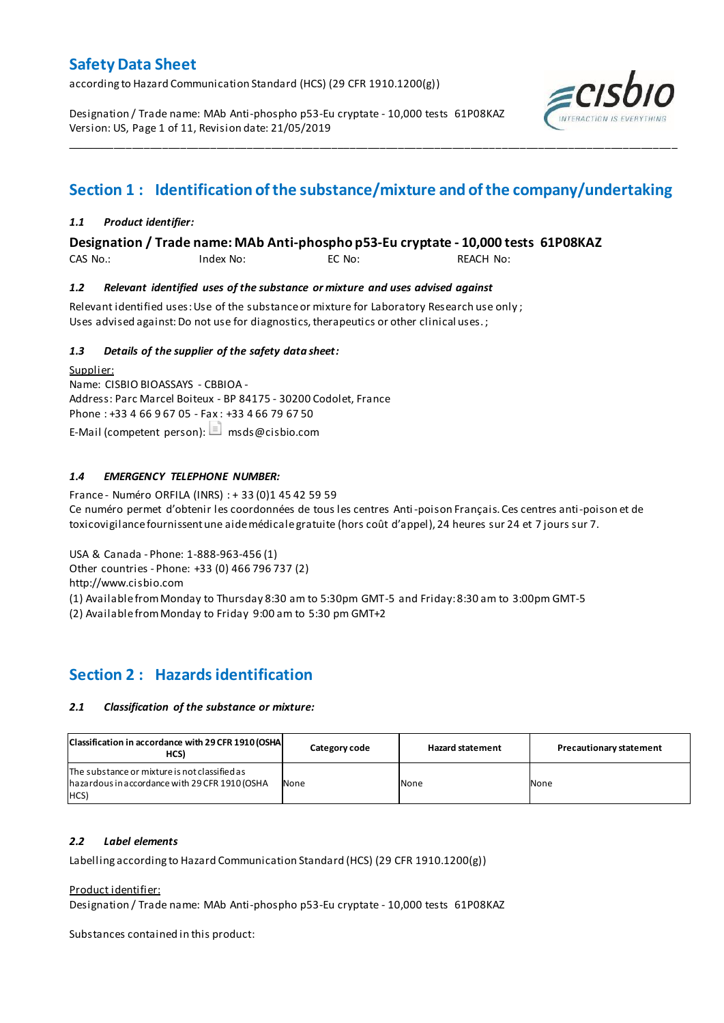according to Hazard Communication Standard (HCS) (29 CFR 1910.1200(g))

Designation / Trade name: MAb Anti-phospho p53-Eu cryptate - 10,000 tests 61P08KAZ Version: US, Page 1 of 11, Revision date: 21/05/2019



# **Section 1 : Identification of the substance/mixture and of the company/undertaking**

\_\_\_\_\_\_\_\_\_\_\_\_\_\_\_\_\_\_\_\_\_\_\_\_\_\_\_\_\_\_\_\_\_\_\_\_\_\_\_\_\_\_\_\_\_\_\_\_\_\_\_\_\_\_\_\_\_\_\_\_\_\_\_\_\_\_\_\_\_\_\_\_\_\_\_\_\_\_\_\_\_\_\_\_\_\_\_\_\_\_\_\_\_\_\_\_\_\_\_\_\_

### *1.1 Product identifier:*

**Designation / Trade name: MAb Anti-phospho p53-Eu cryptate - 10,000 tests 61P08KAZ** 

CAS No.: Index No: EC No: REACH No:

### *1.2 Relevant identified uses of the substance or mixture and uses advised against*

Relevant identified uses: Use of the substance or mixture for Laboratory Research use only ; Uses advised against: Do not use for diagnostics, therapeutics or other clinical uses.;

### *1.3 Details of the supplier of the safety data sheet:*

Supplier: Name: CISBIO BIOASSAYS - CBBIOA - Address: Parc Marcel Boiteux - BP 84175 - 30200 Codolet, France Phone : +33 4 66 9 67 05 - Fax : +33 4 66 79 67 50 E-Mail (competent person):  $\Box$  msds@cisbio.com

### *1.4 EMERGENCY TELEPHONE NUMBER:*

France - Numéro ORFILA (INRS) : + 33 (0)1 45 42 59 59 Ce numéro permet d'obtenir les coordonnées de tous les centres Anti-poison Français. Ces centres anti-poison et de toxicovigilance fournissent une aide médicale gratuite (hors coût d'appel), 24 heures sur 24 et 7 jours sur 7.

USA & Canada - Phone: 1-888-963-456 (1)

Other countries - Phone: +33 (0) 466 796 737 (2)

http://www.cisbio.com

(1) Available from Monday to Thursday 8:30 am to 5:30pm GMT-5 and Friday: 8:30 am to 3:00pm GMT-5

(2) Available from Monday to Friday 9:00 am to 5:30 pm GMT+2

## **Section 2 : Hazards identification**

### *2.1 Classification of the substance or mixture:*

| Classification in accordance with 29 CFR 1910 (OSHA)<br>HCS)                                            | Category code | <b>Hazard statement</b> | <b>Precautionary statement</b> |
|---------------------------------------------------------------------------------------------------------|---------------|-------------------------|--------------------------------|
| The substance or mixture is not classified as<br>hazardous in accordance with 29 CFR 1910 (OSHA<br>HCS) | None          | None                    | None                           |

### *2.2 Label elements*

Labelling according to Hazard Communication Standard (HCS) (29 CFR 1910.1200(g))

### Product identifier:

Designation / Trade name: MAb Anti-phospho p53-Eu cryptate - 10,000 tests 61P08KAZ

Substances contained in this product: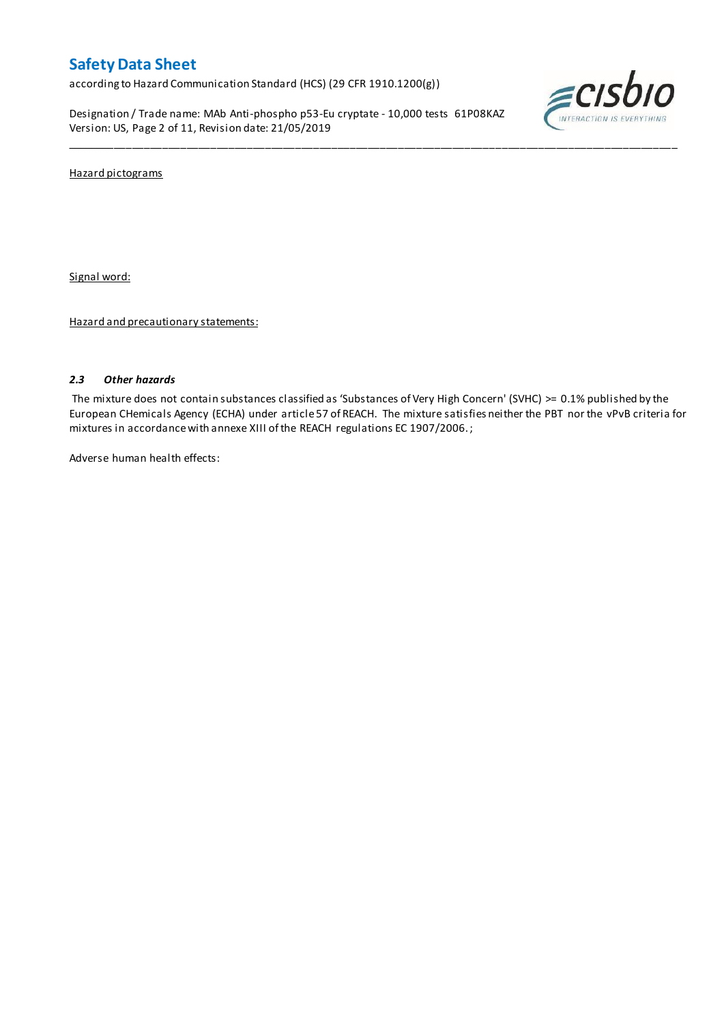according to Hazard Communication Standard (HCS) (29 CFR 1910.1200(g))

Designation / Trade name: MAb Anti-phospho p53-Eu cryptate - 10,000 tests 61P08KAZ Version: US, Page 2 of 11, Revision date: 21/05/2019



Hazard pictograms

Signal word:

Hazard and precautionary statements:

### *2.3 Other hazards*

The mixture does not contain substances classified as 'Substances of Very High Concern' (SVHC) >= 0.1% published by the European CHemicals Agency (ECHA) under article 57 of REACH. The mixture satisfies neither the PBT nor the vPvB criteria for mixtures in accordance with annexe XIII of the REACH regulations EC 1907/2006. ;

\_\_\_\_\_\_\_\_\_\_\_\_\_\_\_\_\_\_\_\_\_\_\_\_\_\_\_\_\_\_\_\_\_\_\_\_\_\_\_\_\_\_\_\_\_\_\_\_\_\_\_\_\_\_\_\_\_\_\_\_\_\_\_\_\_\_\_\_\_\_\_\_\_\_\_\_\_\_\_\_\_\_\_\_\_\_\_\_\_\_\_\_\_\_\_\_\_\_\_\_\_

Adverse human health effects: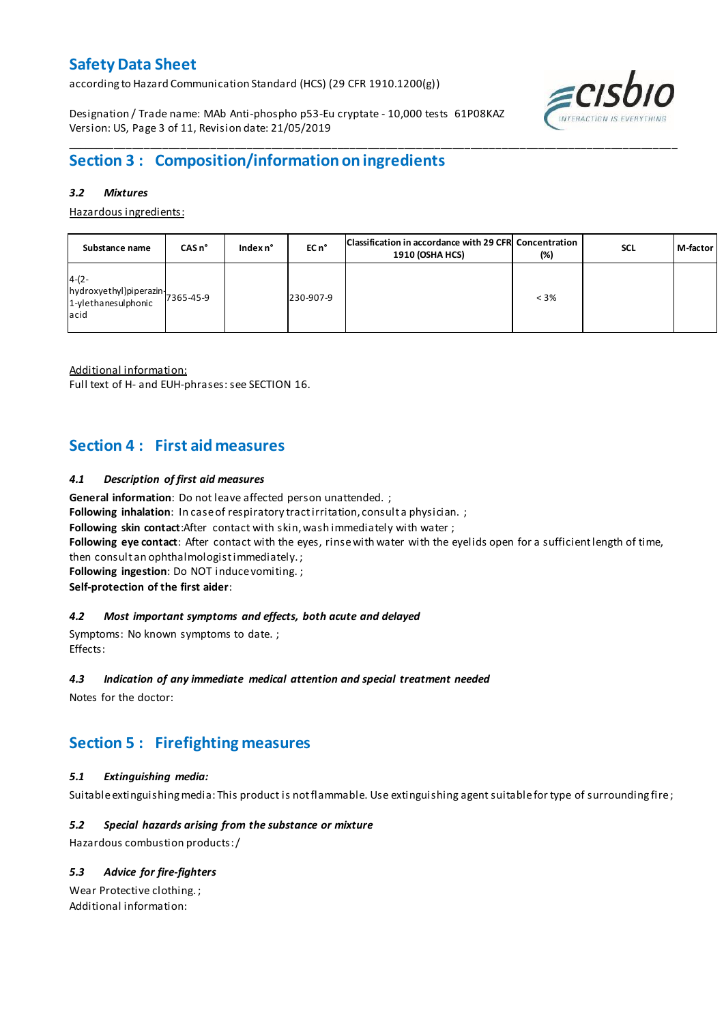according to Hazard Communication Standard (HCS) (29 CFR 1910.1200(g))

Designation / Trade name: MAb Anti-phospho p53-Eu cryptate - 10,000 tests 61P08KAZ Version: US, Page 3 of 11, Revision date: 21/05/2019



### *3.2 Mixtures*

Hazardous ingredients:

| Substance name                                                                                                                       | $CASn^{\circ}$ | Index n° | EC n <sup>o</sup> | Classification in accordance with 29 CFR Concentration<br><b>1910 (OSHA HCS)</b> | (%)     | <b>SCL</b> | M-factor |
|--------------------------------------------------------------------------------------------------------------------------------------|----------------|----------|-------------------|----------------------------------------------------------------------------------|---------|------------|----------|
| $4-(2-$<br>$\left  \frac{h}{d} \right $ hydroxyethyl)piperazin $\left  \frac{1}{2} \right $ 365-45-9<br>1-ylethanesulphonic<br>lacid |                |          | 230-907-9         |                                                                                  | $< 3\%$ |            |          |

Additional information:

Full text of H- and EUH-phrases: see SECTION 16.

## **Section 4 : First aid measures**

### *4.1 Description of first aid measures*

**General information**: Do not leave affected person unattended. ;

Following inhalation: In case of respiratory tract irritation, consult a physician. ;

**Following skin contact**:After contact with skin, wash immediately with water ;

**Following eye contact**: After contact with the eyes, rinse with water with the eyelids open for a sufficient length of time,

then consult an ophthalmologist immediately. ;

**Following ingestion**: Do NOT induce vomiting. ;

**Self-protection of the first aider**:

### *4.2 Most important symptoms and effects, both acute and delayed*

Symptoms: No known symptoms to date. ; Effects:

### *4.3 Indication of any immediate medical attention and special treatment needed*

Notes for the doctor:

## **Section 5 : Firefighting measures**

### *5.1 Extinguishing media:*

Suitable extinguishing media: This product is not flammable. Use extinguishing agent suitable for type of surrounding fire ;

### *5.2 Special hazards arising from the substance or mixture*

Hazardous combustion products:/

### *5.3 Advice for fire-fighters*

Wear Protective clothing. ; Additional information:

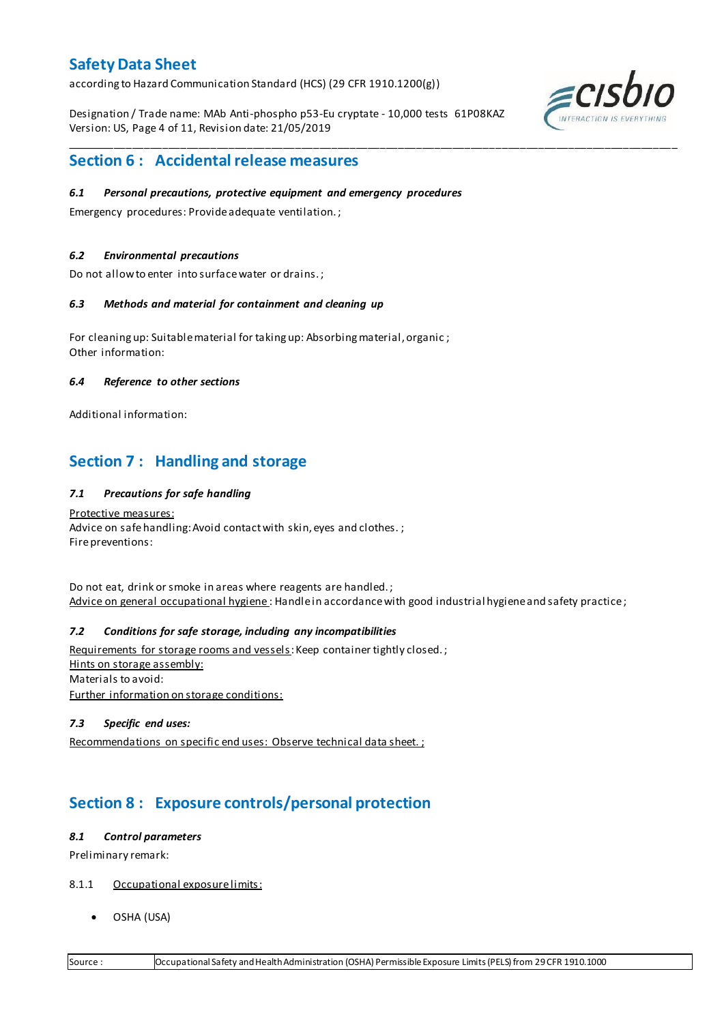according to Hazard Communication Standard (HCS) (29 CFR 1910.1200(g))

Designation / Trade name: MAb Anti-phospho p53-Eu cryptate - 10,000 tests 61P08KAZ Version: US, Page 4 of 11, Revision date: 21/05/2019

\_\_\_\_\_\_\_\_\_\_\_\_\_\_\_\_\_\_\_\_\_\_\_\_\_\_\_\_\_\_\_\_\_\_\_\_\_\_\_\_\_\_\_\_\_\_\_\_\_\_\_\_\_\_\_\_\_\_\_\_\_\_\_\_\_\_\_\_\_\_\_\_\_\_\_\_\_\_\_\_\_\_\_\_\_\_\_\_\_\_\_\_\_\_\_\_\_\_\_\_\_



## **Section 6 : Accidental release measures**

### *6.1 Personal precautions, protective equipment and emergency procedures*

Emergency procedures: Provide adequate ventilation. ;

### *6.2 Environmental precautions*

Do not allow to enter into surface water or drains. ;

### *6.3 Methods and material for containment and cleaning up*

For cleaning up: Suitable material for taking up: Absorbing material, organic ; Other information:

### *6.4 Reference to other sections*

Additional information:

## **Section 7 : Handling and storage**

### *7.1 Precautions for safe handling*

Protective measures: Advice on safe handling: Avoid contact with skin, eyes and clothes.; Fire preventions:

Do not eat, drink or smoke in areas where reagents are handled. ; Advice on general occupational hygiene: Handle in accordance with good industrial hygiene and safety practice;

### *7.2 Conditions for safe storage, including any incompatibilities*

Requirements for storage rooms and vessels: Keep container tightly closed.; Hints on storage assembly: Materials to avoid: Further information on storage conditions:

### *7.3 Specific end uses:*

Recommendations on specific end uses: Observe technical data sheet. ;

## **Section 8 : Exposure controls/personal protection**

### *8.1 Control parameters*

Preliminary remark:

- 8.1.1 Occupational exposure limits:
	- OSHA (USA)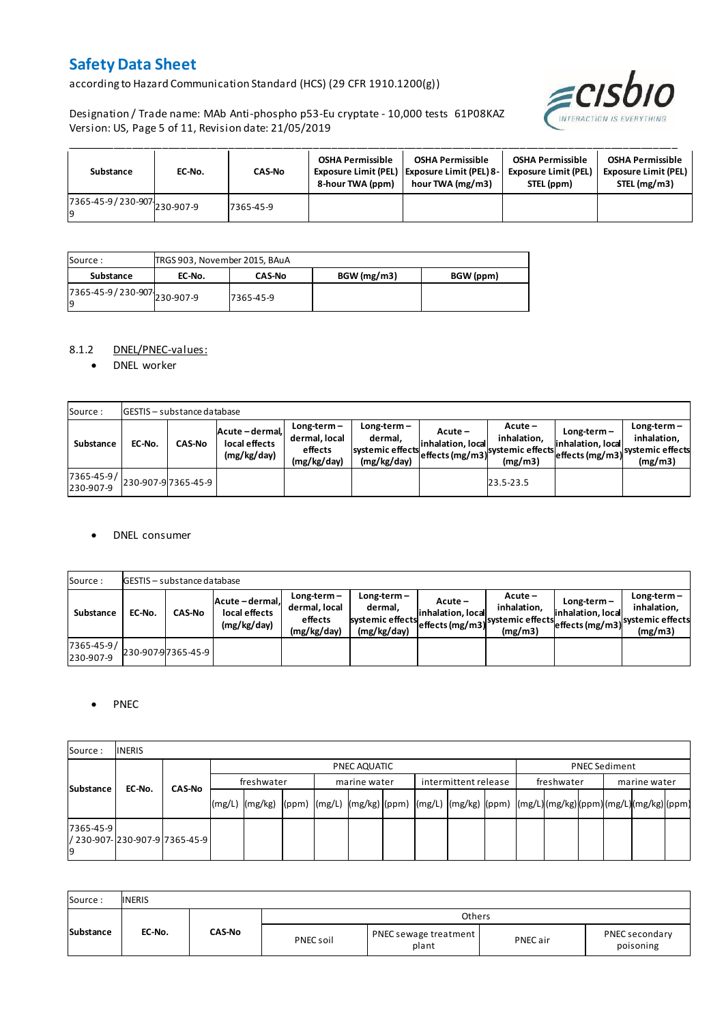according to Hazard Communication Standard (HCS) (29 CFR 1910.1200(g))

Designation / Trade name: MAb Anti-phospho p53-Eu cryptate - 10,000 tests 61P08KAZ Version: US, Page 5 of 11, Revision date: 21/05/2019



| Substance                                 | EC-No. | <b>CAS-No</b> | <b>OSHA Permissible</b><br>8-hour TWA (ppm) | <b>OSHA Permissible</b><br><b>Exposure Limit (PEL)   Exposure Limit (PEL) 8-1</b><br>hour TWA (mg/m3) | <b>OSHA Permissible</b><br><b>Exposure Limit (PEL)</b><br>STEL (ppm) | <b>OSHA Permissible</b><br><b>Exposure Limit (PEL)</b><br>STEL (mg/m3) |
|-------------------------------------------|--------|---------------|---------------------------------------------|-------------------------------------------------------------------------------------------------------|----------------------------------------------------------------------|------------------------------------------------------------------------|
| 7365-45-9/230-907 230-907-9<br><b>l</b> q |        | 7365-45-9     |                                             |                                                                                                       |                                                                      |                                                                        |

| Source :                            | TRGS 903, November 2015, BAuA |               |            |           |
|-------------------------------------|-------------------------------|---------------|------------|-----------|
| Substance                           | EC-No.                        | <b>CAS-No</b> | BGW(mg/m3) | BGW (ppm) |
| 7365-45-9 / 230-907 230-907-9<br>19 |                               | 7365-45-9     |            |           |

### 8.1.2 DNEL/PNEC-values:

• DNEL worker

| Source:                 |        | <b>GESTIS</b> - substance database |                                                 |                                                          |                                                          |                                                    |                                                         |                                    |                                                                               |
|-------------------------|--------|------------------------------------|-------------------------------------------------|----------------------------------------------------------|----------------------------------------------------------|----------------------------------------------------|---------------------------------------------------------|------------------------------------|-------------------------------------------------------------------------------|
| Substance               | EC-No. | <b>CAS-No</b>                      | Acute - dermal,<br>local effects<br>(mg/kg/day) | $Long-term -$<br>dermal, local<br>effects<br>(mg/kg/day) | Long-term-<br>dermal.<br>systemic effects<br>(mg/kg/day) | $Acute -$<br>linhalation. local<br>effects (mg/m3) | $Acute -$<br>inhalation.<br>systemic effects<br>(mg/m3) | $Long-term -$<br>inhalation. local | $Long-term -$<br>inhalation.<br>"leffects (mg/m3) systemic effects<br>(mg/m3) |
| 7365-45-9/<br>230-907-9 |        | 230-907-97365-45-9                 |                                                 |                                                          |                                                          |                                                    | 23.5-23.5                                               |                                    |                                                                               |

### DNEL consumer

| Source:                 |        | <b>GESTIS</b> - substance database |                                               |                                                          |                                                             |                              |                                                                                  |                                  |                                                                                |
|-------------------------|--------|------------------------------------|-----------------------------------------------|----------------------------------------------------------|-------------------------------------------------------------|------------------------------|----------------------------------------------------------------------------------|----------------------------------|--------------------------------------------------------------------------------|
| Substance               | EC-No. | <b>CAS-No</b>                      | Acute-dermal.<br>local effects<br>(mg/kg/day) | $Long-term -$<br>dermal, local<br>effects<br>(mg/kg/day) | $Long-term -$<br>dermal.<br>systemic effects<br>(mg/kg/day) | Acute –<br>inhalation. local | $Acute -$<br>inhalation.<br>systemic effects (mg/m3) systemic effects<br>(mg/m3) | Long-term –<br>inhalation. local | $Long-term -$<br>inhalation.<br>- weffects (mg/m3) systemic effects<br>(mg/m3) |
| 7365-45-9/<br>230-907-9 |        | 230-907-97365-45-9                 |                                               |                                                          |                                                             |                              |                                                                                  |                                  |                                                                                |

### • PNEC

| Source:         | <b>INERIS</b>                   |               |        |              |  |  |              |  |                      |  |            |                      |              |  |  |  |  |
|-----------------|---------------------------------|---------------|--------|--------------|--|--|--------------|--|----------------------|--|------------|----------------------|--------------|--|--|--|--|
|                 |                                 |               |        | PNEC AQUATIC |  |  |              |  |                      |  |            | <b>PNEC Sediment</b> |              |  |  |  |  |
|                 | Substance<br>EC-No.             | <b>CAS-No</b> |        | freshwater   |  |  | marine water |  | intermittent release |  | freshwater |                      | marine water |  |  |  |  |
|                 |                                 |               | (mg/L) |              |  |  |              |  |                      |  |            |                      |              |  |  |  |  |
| 7365-45-9<br>۱q | / 230-907-1230-907-917365-45-91 |               |        |              |  |  |              |  |                      |  |            |                      |              |  |  |  |  |

| Source:   | <b>INERIS</b> |               |           |                                |          |                             |
|-----------|---------------|---------------|-----------|--------------------------------|----------|-----------------------------|
|           |               |               |           | Others                         |          |                             |
| Substance | EC-No.        | <b>CAS-No</b> | PNEC soil | PNEC sewage treatment<br>plant | PNEC air | PNEC secondary<br>poisoning |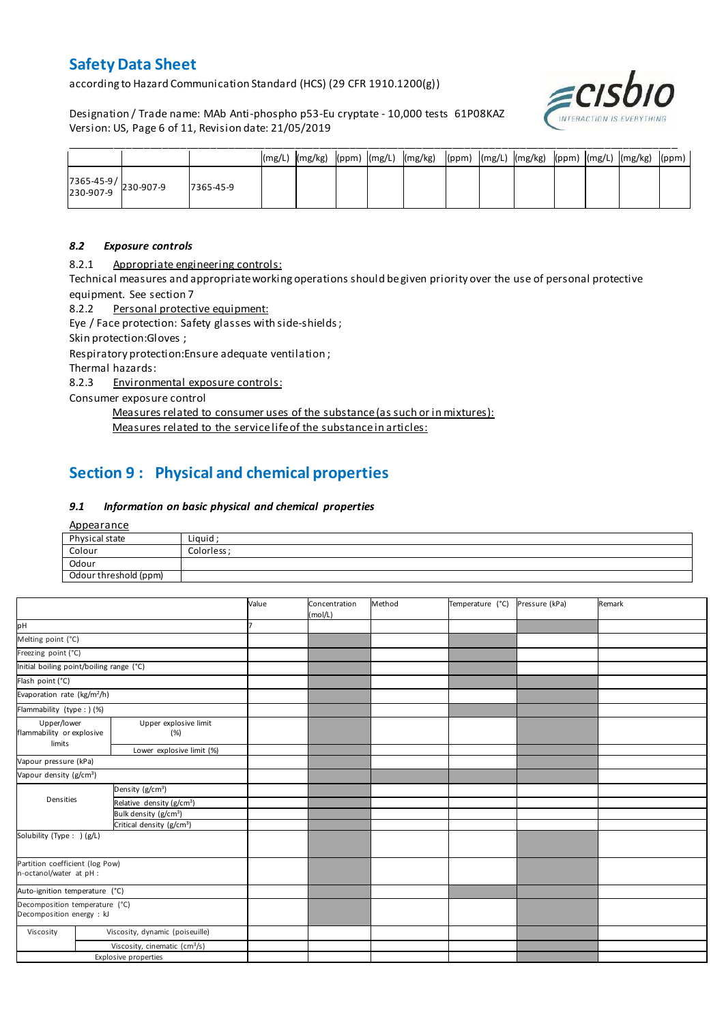according to Hazard Communication Standard (HCS) (29 CFR 1910.1200(g))

Designation / Trade name: MAb Anti-phospho p53-Eu cryptate - 10,000 tests 61P08KAZ Version: US, Page 6 of 11, Revision date: 21/05/2019



|                                                                                       |           |  |  | (mg/L)  (mg/kg)  (ppm)  (mg/L)  (mg/kg)  (ppm)  (mg/L)  (mg/kg)  (ppm)  (mg/L)  (mg/kg)  (ppm) |  |  |  |  |
|---------------------------------------------------------------------------------------|-----------|--|--|------------------------------------------------------------------------------------------------|--|--|--|--|
| $\begin{array}{ c c c c }\n 7365-45-9 & & 230-907-9 \\ 230-907-9 & & & \n\end{array}$ | 7365-45-9 |  |  |                                                                                                |  |  |  |  |

### *8.2 Exposure controls*

8.2.1 Appropriate engineering controls:

Technical measures and appropriate working operations should be given priority over the use of personal protective equipment. See section 7

8.2.2 Personal protective equipment:

Eye / Face protection: Safety glasses with side-shields;

Skin protection:Gloves ;

Respiratory protection:Ensure adequate ventilation ;

Thermal hazards:

8.2.3 Environmental exposure controls:

Consumer exposure control

Measures related to consumer uses of the substance (as such or in mixtures): Measures related to the service life of the substance in articles:

## **Section 9 : Physical and chemical properties**

### *9.1 Information on basic physical and chemical properties*

**Appearance** 

| Physical state        | Liguid     |
|-----------------------|------------|
| Colour                | Colorless: |
| Odour                 |            |
| Odour threshold (ppm) |            |

|                                                                          |  |                                           | Value | Concentration<br>(mol/L) | Method | Temperature (°C) | Pressure (kPa) | Remark |
|--------------------------------------------------------------------------|--|-------------------------------------------|-------|--------------------------|--------|------------------|----------------|--------|
| pH                                                                       |  |                                           |       |                          |        |                  |                |        |
| Melting point (°C)                                                       |  |                                           |       |                          |        |                  |                |        |
| Freezing point (°C)                                                      |  |                                           |       |                          |        |                  |                |        |
| Initial boiling point/boiling range (°C)                                 |  |                                           |       |                          |        |                  |                |        |
| Flash point (°C)                                                         |  |                                           |       |                          |        |                  |                |        |
| Evaporation rate (kg/m <sup>2</sup> /h)                                  |  |                                           |       |                          |        |                  |                |        |
| Flammability (type : ) (%)                                               |  |                                           |       |                          |        |                  |                |        |
| Upper/lower<br>Upper explosive limit<br>flammability or explosive<br>(%) |  |                                           |       |                          |        |                  |                |        |
| limits<br>Lower explosive limit (%)                                      |  |                                           |       |                          |        |                  |                |        |
| Vapour pressure (kPa)                                                    |  |                                           |       |                          |        |                  |                |        |
| Vapour density (g/cm <sup>3</sup> )                                      |  |                                           |       |                          |        |                  |                |        |
|                                                                          |  | Density (g/cm <sup>3</sup> )              |       |                          |        |                  |                |        |
| Densities                                                                |  | Relative density (g/cm <sup>3</sup> )     |       |                          |        |                  |                |        |
|                                                                          |  | Bulk density (g/cm <sup>3</sup> )         |       |                          |        |                  |                |        |
|                                                                          |  | Critical density (g/cm <sup>3</sup> )     |       |                          |        |                  |                |        |
| Solubility (Type: ) (g/L)                                                |  |                                           |       |                          |        |                  |                |        |
| Partition coefficient (log Pow)<br>n-octanol/water at pH :               |  |                                           |       |                          |        |                  |                |        |
| Auto-ignition temperature (°C)                                           |  |                                           |       |                          |        |                  |                |        |
| Decomposition temperature (°C)<br>Decomposition energy : kJ              |  |                                           |       |                          |        |                  |                |        |
| Viscosity                                                                |  | Viscosity, dynamic (poiseuille)           |       |                          |        |                  |                |        |
|                                                                          |  | Viscosity, cinematic (cm <sup>3</sup> /s) |       |                          |        |                  |                |        |
|                                                                          |  | <b>Explosive properties</b>               |       |                          |        |                  |                |        |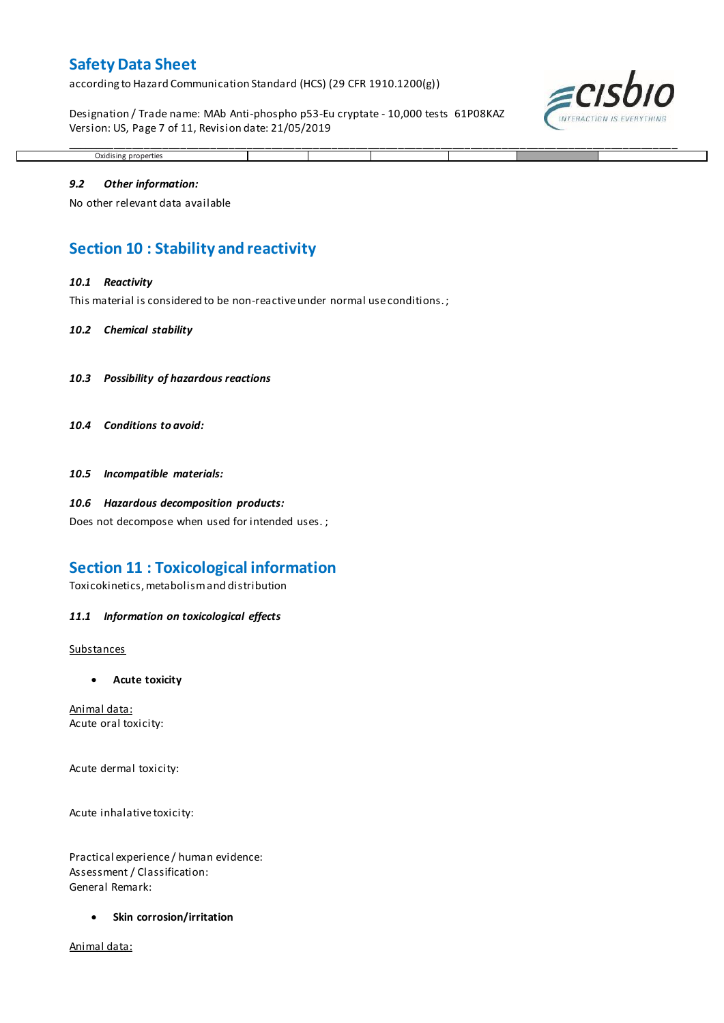according to Hazard Communication Standard (HCS) (29 CFR 1910.1200(g))

Designation / Trade name: MAb Anti-phospho p53-Eu cryptate - 10,000 tests 61P08KAZ Version: US, Page 7 of 11, Revision date: 21/05/2019



## Oxidising properties

\_\_\_\_\_\_\_\_\_\_\_\_\_\_\_\_\_\_\_\_\_\_\_\_\_\_\_\_\_\_\_\_\_\_\_\_\_\_\_\_\_\_\_\_\_\_\_\_\_\_\_\_\_\_\_\_\_\_\_\_\_\_\_\_\_\_\_\_\_\_\_\_\_\_\_\_\_\_\_\_\_\_\_\_\_\_\_\_\_\_\_\_\_\_\_\_\_\_\_\_\_

### *9.2 Other information:*

No other relevant data available

## **Section 10 : Stability and reactivity**

#### *10.1 Reactivity*

This material is considered to be non-reactive under normal use conditions. ;

#### *10.2 Chemical stability*

- *10.3 Possibility of hazardous reactions*
- *10.4 Conditions to avoid:*

*10.5 Incompatible materials:*

#### *10.6 Hazardous decomposition products:*

Does not decompose when used for intended uses. ;

### **Section 11 : Toxicological information**

Toxicokinetics, metabolism and distribution

#### *11.1 Information on toxicological effects*

#### **Substances**

**Acute toxicity**

Animal data: Acute oral toxicity:

Acute dermal toxicity:

Acute inhalative toxicity:

Practical experience / human evidence: Assessment / Classification: General Remark:

**Skin corrosion/irritation**

Animal data: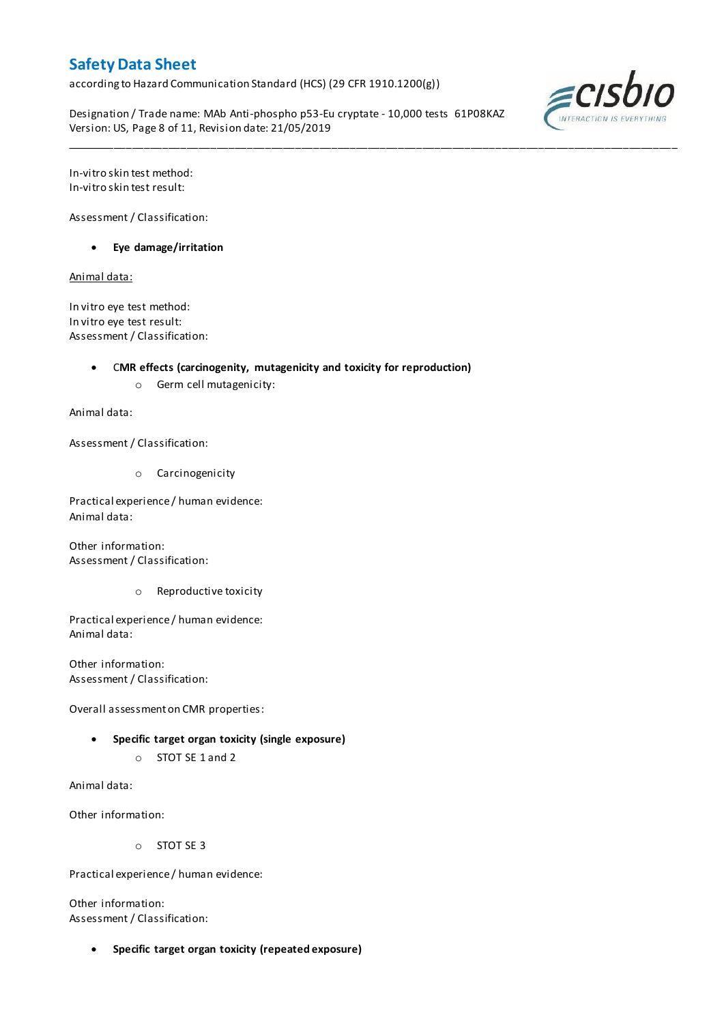according to Hazard Communication Standard (HCS) (29 CFR 1910.1200(g))

Designation / Trade name: MAb Anti-phospho p53-Eu cryptate - 10,000 tests 61P08KAZ Version: US, Page 8 of 11, Revision date: 21/05/2019

\_\_\_\_\_\_\_\_\_\_\_\_\_\_\_\_\_\_\_\_\_\_\_\_\_\_\_\_\_\_\_\_\_\_\_\_\_\_\_\_\_\_\_\_\_\_\_\_\_\_\_\_\_\_\_\_\_\_\_\_\_\_\_\_\_\_\_\_\_\_\_\_\_\_\_\_\_\_\_\_\_\_\_\_\_\_\_\_\_\_\_\_\_\_\_\_\_\_\_\_\_



In-vitro skin test method: In-vitro skin test result:

Assessment / Classification:

**Eye damage/irritation**

Animal data:

In vitro eye test method: In vitro eye test result: Assessment / Classification:

C**MR effects (carcinogenity, mutagenicity and toxicity for reproduction)**

o Germ cell mutagenicity:

Animal data:

Assessment / Classification:

o Carcinogenicity

Practical experience / human evidence: Animal data:

Other information: Assessment / Classification:

o Reproductive toxicity

Practical experience / human evidence: Animal data:

Other information: Assessment / Classification:

Overall assessment on CMR properties:

- **Specific target organ toxicity (single exposure)**
	- o STOT SE 1 and 2

Animal data:

Other information:

o STOT SE 3

Practical experience / human evidence:

Other information: Assessment / Classification:

**Specific target organ toxicity (repeated exposure)**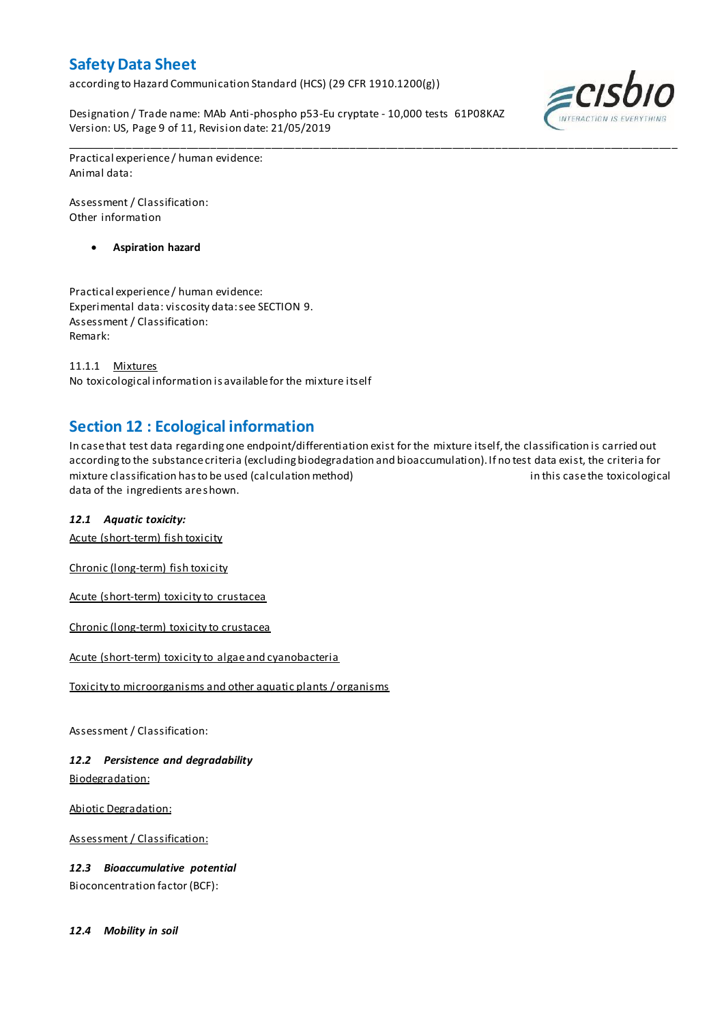according to Hazard Communication Standard (HCS) (29 CFR 1910.1200(g))

Designation / Trade name: MAb Anti-phospho p53-Eu cryptate - 10,000 tests 61P08KAZ Version: US, Page 9 of 11, Revision date: 21/05/2019



Practical experience / human evidence: Animal data:

Assessment / Classification: Other information

**Aspiration hazard**

Practical experience / human evidence: Experimental data: viscosity data: see SECTION 9. Assessment / Classification: Remark:

11.1.1 Mixtures No toxicological information is available for the mixture itself

## **Section 12 : Ecological information**

In case that test data regarding one endpoint/differentiation exist for the mixture itself, the classification is carried out according to the substance criteria (excluding biodegradation and bioaccumulation). If no test data exist, the criteria for mixture classification has to be used (calculation method) in this case the toxicological data of the ingredients are shown.

\_\_\_\_\_\_\_\_\_\_\_\_\_\_\_\_\_\_\_\_\_\_\_\_\_\_\_\_\_\_\_\_\_\_\_\_\_\_\_\_\_\_\_\_\_\_\_\_\_\_\_\_\_\_\_\_\_\_\_\_\_\_\_\_\_\_\_\_\_\_\_\_\_\_\_\_\_\_\_\_\_\_\_\_\_\_\_\_\_\_\_\_\_\_\_\_\_\_\_\_\_

### *12.1 Aquatic toxicity:*

Acute (short-term) fish toxicity

Chronic (long-term) fish toxicity

Acute (short-term) toxicity to crustacea

Chronic (long-term) toxicity to crustacea

Acute (short-term) toxicity to algae and cyanobacteria

Toxicity to microorganisms and other aquatic plants / organisms

Assessment / Classification:

*12.2 Persistence and degradability* Biodegradation:

Abiotic Degradation:

Assessment / Classification:

*12.3 Bioaccumulative potential* Bioconcentration factor (BCF):

*12.4 Mobility in soil*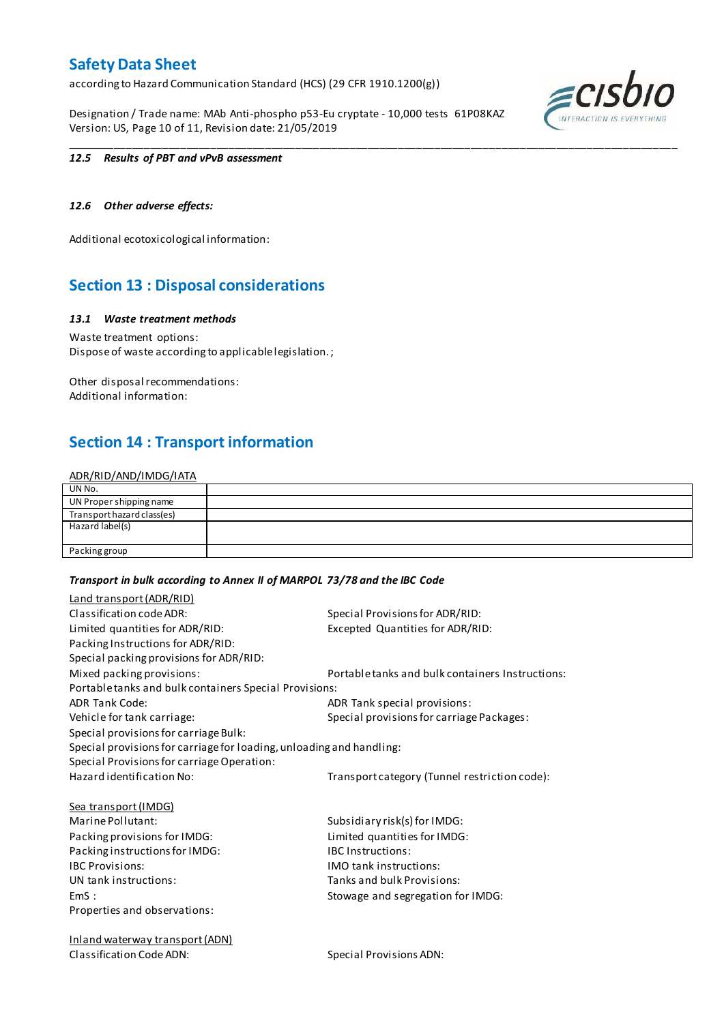according to Hazard Communication Standard (HCS) (29 CFR 1910.1200(g))

Designation / Trade name: MAb Anti-phospho p53-Eu cryptate - 10,000 tests 61P08KAZ Version: US, Page 10 of 11, Revision date: 21/05/2019



### *12.5 Results of PBT and vPvB assessment*

### *12.6 Other adverse effects:*

Additional ecotoxicological information:

## **Section 13 : Disposal considerations**

### *13.1 Waste treatment methods*

Waste treatment options: Dispose of waste according to applicable legislation. ;

Other disposal recommendations: Additional information:

## **Section 14 : Transport information**

### ADR/RID/AND/IMDG/IATA

| UN No.                     |  |
|----------------------------|--|
| UN Proper shipping name    |  |
| Transport hazard class(es) |  |
| Hazard label(s)            |  |
|                            |  |
| Packing group              |  |

\_\_\_\_\_\_\_\_\_\_\_\_\_\_\_\_\_\_\_\_\_\_\_\_\_\_\_\_\_\_\_\_\_\_\_\_\_\_\_\_\_\_\_\_\_\_\_\_\_\_\_\_\_\_\_\_\_\_\_\_\_\_\_\_\_\_\_\_\_\_\_\_\_\_\_\_\_\_\_\_\_\_\_\_\_\_\_\_\_\_\_\_\_\_\_\_\_\_\_\_\_

### *Transport in bulk according to Annex II of MARPOL 73/78 and the IBC Code*

| Land transport (ADR/RID)                                             |                                                  |
|----------------------------------------------------------------------|--------------------------------------------------|
| Classification code ADR:                                             | Special Provisions for ADR/RID:                  |
| Limited quantities for ADR/RID:                                      | Excepted Quantities for ADR/RID:                 |
| Packing Instructions for ADR/RID:                                    |                                                  |
| Special packing provisions for ADR/RID:                              |                                                  |
| Mixed packing provisions:                                            | Portable tanks and bulk containers Instructions: |
| Portable tanks and bulk containers Special Provisions:               |                                                  |
| <b>ADR Tank Code:</b>                                                | ADR Tank special provisions:                     |
| Vehicle for tank carriage:                                           | Special provisions for carriage Packages:        |
| Special provisions for carriage Bulk:                                |                                                  |
| Special provisions for carriage for loading, unloading and handling: |                                                  |
| Special Provisions for carriage Operation:                           |                                                  |
| Hazard identification No:                                            | Transport category (Tunnel restriction code):    |
| <b>Sea transport (IMDG)</b>                                          |                                                  |
| Marine Pollutant:                                                    | Subsidiary risk(s) for IMDG:                     |
| Packing provisions for IMDG:                                         | Limited quantities for IMDG:                     |
| Packing instructions for IMDG:                                       | <b>IBC</b> Instructions:                         |
| <b>IBC Provisions:</b>                                               | <b>IMO</b> tank instructions:                    |
| UN tank instructions:                                                | Tanks and bulk Provisions:                       |
| EmS:                                                                 | Stowage and segregation for IMDG:                |
| Properties and observations:                                         |                                                  |
| <b>Inland waterway transport (ADN)</b>                               |                                                  |

Classification Code ADN: Special Provisions ADN: